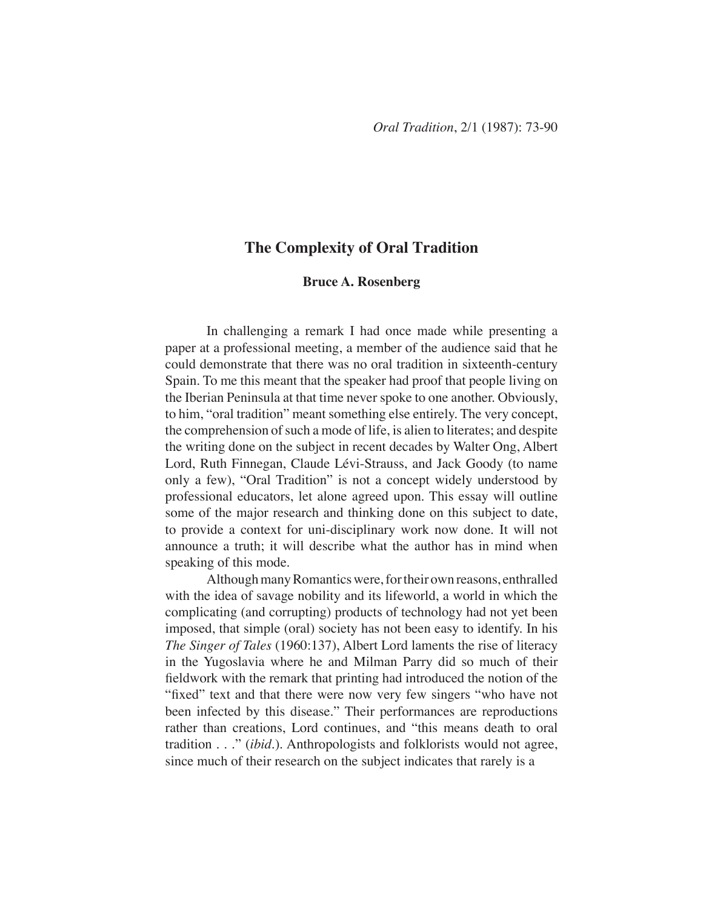# **The Complexity of Oral Tradition**

## **Bruce A. Rosenberg**

In challenging a remark I had once made while presenting a paper at a professional meeting, a member of the audience said that he could demonstrate that there was no oral tradition in sixteenth-century Spain. To me this meant that the speaker had proof that people living on the Iberian Peninsula at that time never spoke to one another. Obviously, to him, "oral tradition" meant something else entirely. The very concept, the comprehension of such a mode of life, is alien to literates; and despite the writing done on the subject in recent decades by Walter Ong, Albert Lord, Ruth Finnegan, Claude Lévi-Strauss, and Jack Goody (to name only a few), "Oral Tradition" is not a concept widely understood by professional educators, let alone agreed upon. This essay will outline some of the major research and thinking done on this subject to date, to provide a context for uni-disciplinary work now done. It will not announce a truth; it will describe what the author has in mind when speaking of this mode.

Although many Romantics were, for their own reasons, enthralled with the idea of savage nobility and its lifeworld, a world in which the complicating (and corrupting) products of technology had not yet been imposed, that simple (oral) society has not been easy to identify. In his *The Singer of Tales* (1960:137), Albert Lord laments the rise of literacy in the Yugoslavia where he and Milman Parry did so much of their fieldwork with the remark that printing had introduced the notion of the "fixed" text and that there were now very few singers "who have not been infected by this disease." Their performances are reproductions rather than creations, Lord continues, and "this means death to oral tradition . . ." (*ibid.*). Anthropologists and folklorists would not agree, since much of their research on the subject indicates that rarely is a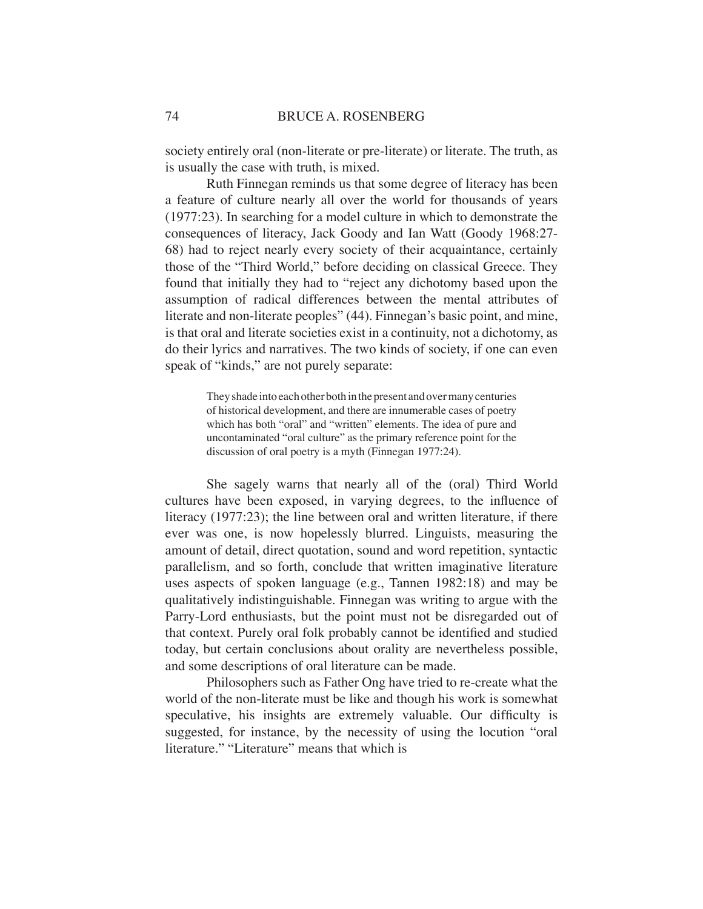society entirely oral (non-literate or pre-literate) or literate. The truth, as is usually the case with truth, is mixed.

Ruth Finnegan reminds us that some degree of literacy has been a feature of culture nearly all over the world for thousands of years (1977:23). In searching for a model culture in which to demonstrate the consequences of literacy, Jack Goody and Ian Watt (Goody 1968:27- 68) had to reject nearly every society of their acquaintance, certainly those of the "Third World," before deciding on classical Greece. They found that initially they had to "reject any dichotomy based upon the assumption of radical differences between the mental attributes of literate and non-literate peoples" (44). Finnegan's basic point, and mine, is that oral and literate societies exist in a continuity, not a dichotomy, as do their lyrics and narratives. The two kinds of society, if one can even speak of "kinds," are not purely separate:

> They shade into each other both in the present and over many centuries of historical development, and there are innumerable cases of poetry which has both "oral" and "written" elements. The idea of pure and uncontaminated "oral culture" as the primary reference point for the discussion of oral poetry is a myth (Finnegan 1977:24).

She sagely warns that nearly all of the (oral) Third World cultures have been exposed, in varying degrees, to the influence of literacy (1977:23); the line between oral and written literature, if there ever was one, is now hopelessly blurred. Linguists, measuring the amount of detail, direct quotation, sound and word repetition, syntactic parallelism, and so forth, conclude that written imaginative literature uses aspects of spoken language (e.g., Tannen 1982:18) and may be qualitatively indistinguishable. Finnegan was writing to argue with the Parry-Lord enthusiasts, but the point must not be disregarded out of that context. Purely oral folk probably cannot be identified and studied today, but certain conclusions about orality are nevertheless possible, and some descriptions of oral literature can be made.

Philosophers such as Father Ong have tried to re-create what the world of the non-literate must be like and though his work is somewhat speculative, his insights are extremely valuable. Our difficulty is suggested, for instance, by the necessity of using the locution "oral literature." "Literature" means that which is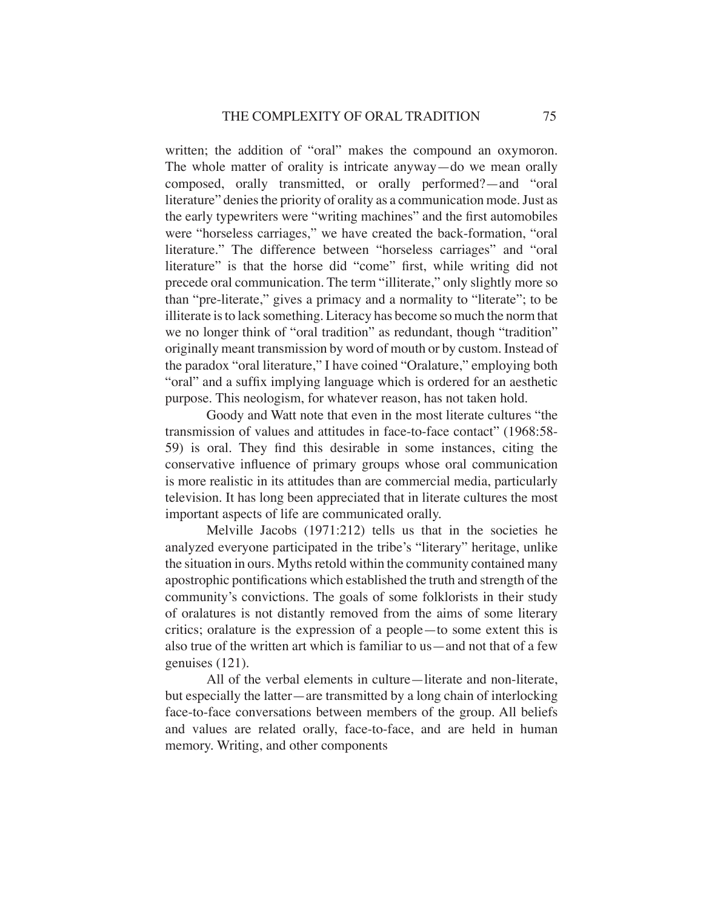written; the addition of "oral" makes the compound an oxymoron. The whole matter of orality is intricate anyway—do we mean orally composed, orally transmitted, or orally performed?—and "oral literature" denies the priority of orality as a communication mode. Just as the early typewriters were "writing machines" and the first automobiles were "horseless carriages," we have created the back-formation, "oral literature." The difference between "horseless carriages" and "oral literature" is that the horse did "come" first, while writing did not precede oral communication. The term "illiterate," only slightly more so than "pre-literate," gives a primacy and a normality to "literate"; to be illiterate is to lack something. Literacy has become so much the norm that we no longer think of "oral tradition" as redundant, though "tradition" originally meant transmission by word of mouth or by custom. Instead of the paradox "oral literature," I have coined "Oralature," employing both "oral" and a suffix implying language which is ordered for an aesthetic purpose. This neologism, for whatever reason, has not taken hold.

Goody and Watt note that even in the most literate cultures "the transmission of values and attitudes in face-to-face contact" (1968:58- 59) is oral. They find this desirable in some instances, citing the conservative influence of primary groups whose oral communication is more realistic in its attitudes than are commercial media, particularly television. It has long been appreciated that in literate cultures the most important aspects of life are communicated orally.

Melville Jacobs (1971:212) tells us that in the societies he analyzed everyone participated in the tribe's "literary" heritage, unlike the situation in ours. Myths retold within the community contained many apostrophic pontifications which established the truth and strength of the community's convictions. The goals of some folklorists in their study of oralatures is not distantly removed from the aims of some literary critics; oralature is the expression of a people—to some extent this is also true of the written art which is familiar to us—and not that of a few genuises (121).

All of the verbal elements in culture—literate and non-literate, but especially the latter—are transmitted by a long chain of interlocking face-to-face conversations between members of the group. All beliefs and values are related orally, face-to-face, and are held in human memory. Writing, and other components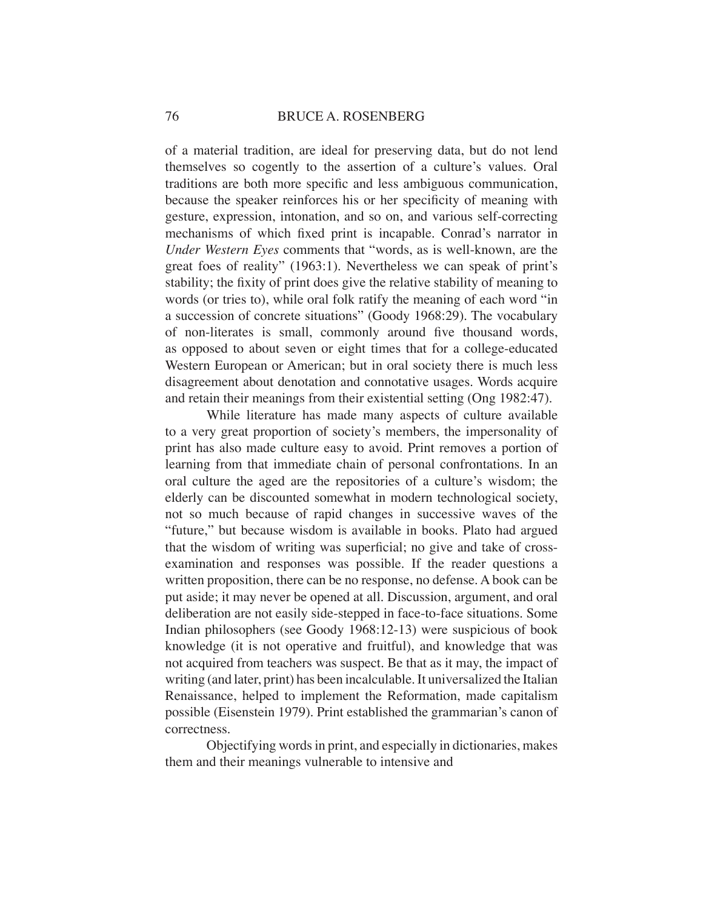of a material tradition, are ideal for preserving data, but do not lend themselves so cogently to the assertion of a culture's values. Oral traditions are both more specific and less ambiguous communication, because the speaker reinforces his or her specificity of meaning with gesture, expression, intonation, and so on, and various self-correcting mechanisms of which fixed print is incapable. Conrad's narrator in *Under Western Eyes* comments that "words, as is well-known, are the great foes of reality" (1963:1). Nevertheless we can speak of print's stability; the fixity of print does give the relative stability of meaning to words (or tries to), while oral folk ratify the meaning of each word "in a succession of concrete situations" (Goody 1968:29). The vocabulary of non-literates is small, commonly around five thousand words, as opposed to about seven or eight times that for a college-educated Western European or American; but in oral society there is much less disagreement about denotation and connotative usages. Words acquire and retain their meanings from their existential setting (Ong 1982:47).

While literature has made many aspects of culture available to a very great proportion of society's members, the impersonality of print has also made culture easy to avoid. Print removes a portion of learning from that immediate chain of personal confrontations. In an oral culture the aged are the repositories of a culture's wisdom; the elderly can be discounted somewhat in modern technological society, not so much because of rapid changes in successive waves of the "future," but because wisdom is available in books. Plato had argued that the wisdom of writing was superficial; no give and take of crossexamination and responses was possible. If the reader questions a written proposition, there can be no response, no defense. A book can be put aside; it may never be opened at all. Discussion, argument, and oral deliberation are not easily side-stepped in face-to-face situations. Some Indian philosophers (see Goody 1968:12-13) were suspicious of book knowledge (it is not operative and fruitful), and knowledge that was not acquired from teachers was suspect. Be that as it may, the impact of writing (and later, print) has been incalculable. It universalized the Italian Renaissance, helped to implement the Reformation, made capitalism possible (Eisenstein 1979). Print established the grammarian's canon of correctness.

Objectifying words in print, and especially in dictionaries, makes them and their meanings vulnerable to intensive and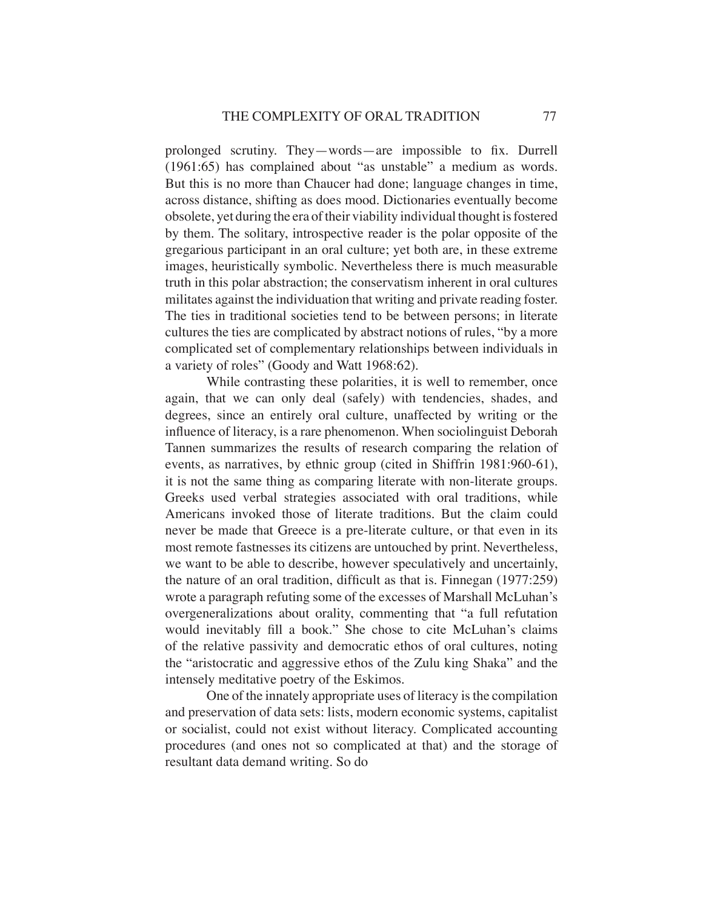prolonged scrutiny. They—words—are impossible to fix. Durrell (1961:65) has complained about "as unstable" a medium as words. But this is no more than Chaucer had done; language changes in time, across distance, shifting as does mood. Dictionaries eventually become obsolete, yet during the era of their viability individual thought is fostered by them. The solitary, introspective reader is the polar opposite of the gregarious participant in an oral culture; yet both are, in these extreme images, heuristically symbolic. Nevertheless there is much measurable truth in this polar abstraction; the conservatism inherent in oral cultures militates against the individuation that writing and private reading foster. The ties in traditional societies tend to be between persons; in literate cultures the ties are complicated by abstract notions of rules, "by a more complicated set of complementary relationships between individuals in a variety of roles" (Goody and Watt 1968:62).

While contrasting these polarities, it is well to remember, once again, that we can only deal (safely) with tendencies, shades, and degrees, since an entirely oral culture, unaffected by writing or the influence of literacy, is a rare phenomenon. When sociolinguist Deborah Tannen summarizes the results of research comparing the relation of events, as narratives, by ethnic group (cited in Shiffrin 1981:960-61), it is not the same thing as comparing literate with non-literate groups. Greeks used verbal strategies associated with oral traditions, while Americans invoked those of literate traditions. But the claim could never be made that Greece is a pre-literate culture, or that even in its most remote fastnesses its citizens are untouched by print. Nevertheless, we want to be able to describe, however speculatively and uncertainly, the nature of an oral tradition, difficult as that is. Finnegan  $(1977:259)$ wrote a paragraph refuting some of the excesses of Marshall McLuhan's overgeneralizations about orality, commenting that "a full refutation would inevitably fill a book." She chose to cite McLuhan's claims of the relative passivity and democratic ethos of oral cultures, noting the "aristocratic and aggressive ethos of the Zulu king Shaka" and the intensely meditative poetry of the Eskimos.

One of the innately appropriate uses of literacy is the compilation and preservation of data sets: lists, modern economic systems, capitalist or socialist, could not exist without literacy. Complicated accounting procedures (and ones not so complicated at that) and the storage of resultant data demand writing. So do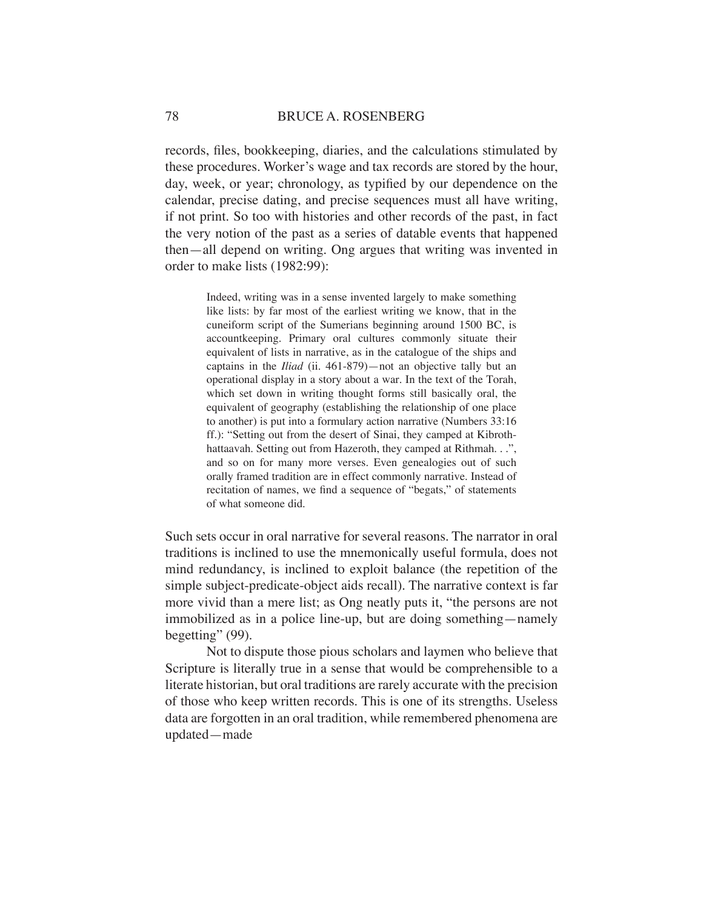## 78 BRUCE A. ROSENBERG

records, files, bookkeeping, diaries, and the calculations stimulated by these procedures. Worker's wage and tax records are stored by the hour, day, week, or year; chronology, as typified by our dependence on the calendar, precise dating, and precise sequences must all have writing, if not print. So too with histories and other records of the past, in fact the very notion of the past as a series of datable events that happened then—all depend on writing. Ong argues that writing was invented in order to make lists (1982:99):

> Indeed, writing was in a sense invented largely to make something like lists: by far most of the earliest writing we know, that in the cuneiform script of the Sumerians beginning around 1500 BC, is accountkeeping. Primary oral cultures commonly situate their equivalent of lists in narrative, as in the catalogue of the ships and captains in the *Iliad* (ii. 461-879)—not an objective tally but an operational display in a story about a war. In the text of the Torah, which set down in writing thought forms still basically oral, the equivalent of geography (establishing the relationship of one place to another) is put into a formulary action narrative (Numbers 33:16 ff.): "Setting out from the desert of Sinai, they camped at Kibrothhattaavah. Setting out from Hazeroth, they camped at Rithmah. . .", and so on for many more verses. Even genealogies out of such orally framed tradition are in effect commonly narrative. Instead of recitation of names, we find a sequence of "begats," of statements of what someone did.

Such sets occur in oral narrative for several reasons. The narrator in oral traditions is inclined to use the mnemonically useful formula, does not mind redundancy, is inclined to exploit balance (the repetition of the simple subject-predicate-object aids recall). The narrative context is far more vivid than a mere list; as Ong neatly puts it, "the persons are not immobilized as in a police line-up, but are doing something—namely begetting" (99).

Not to dispute those pious scholars and laymen who believe that Scripture is literally true in a sense that would be comprehensible to a literate historian, but oral traditions are rarely accurate with the precision of those who keep written records. This is one of its strengths. Useless data are forgotten in an oral tradition, while remembered phenomena are updated—made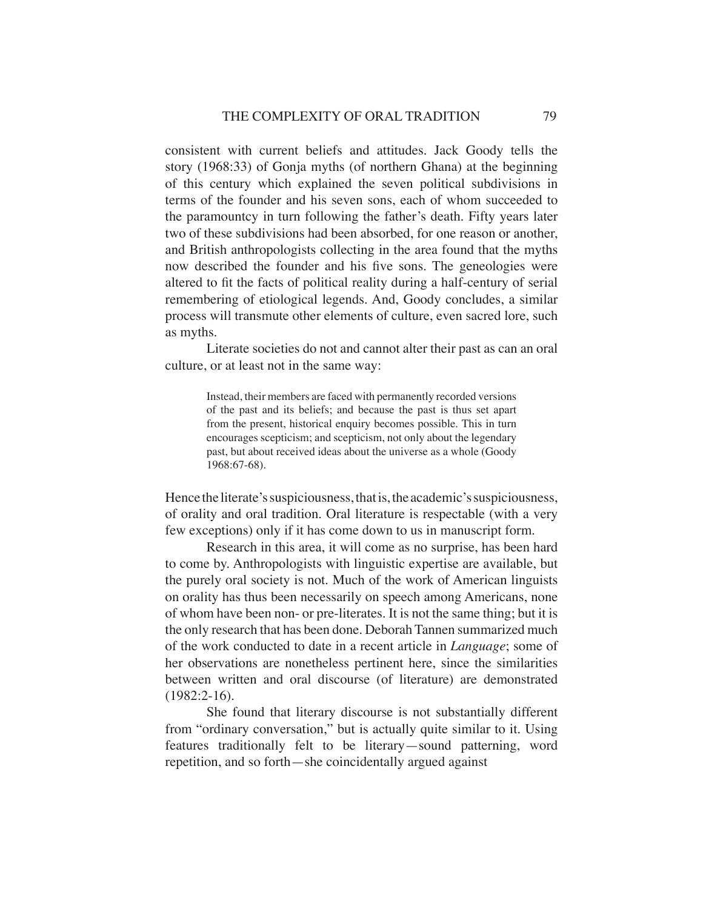consistent with current beliefs and attitudes. Jack Goody tells the story (1968:33) of Gonja myths (of northern Ghana) at the beginning of this century which explained the seven political subdivisions in terms of the founder and his seven sons, each of whom succeeded to the paramountcy in turn following the father's death. Fifty years later two of these subdivisions had been absorbed, for one reason or another, and British anthropologists collecting in the area found that the myths now described the founder and his five sons. The geneologies were altered to fit the facts of political reality during a half-century of serial remembering of etiological legends. And, Goody concludes, a similar process will transmute other elements of culture, even sacred lore, such as myths.

Literate societies do not and cannot alter their past as can an oral culture, or at least not in the same way:

> Instead, their members are faced with permanently recorded versions of the past and its beliefs; and because the past is thus set apart from the present, historical enquiry becomes possible. This in turn encourages scepticism; and scepticism, not only about the legendary past, but about received ideas about the universe as a whole (Goody 1968:67-68).

Hence the literate's suspiciousness, that is, the academic's suspiciousness, of orality and oral tradition. Oral literature is respectable (with a very few exceptions) only if it has come down to us in manuscript form.

Research in this area, it will come as no surprise, has been hard to come by. Anthropologists with linguistic expertise are available, but the purely oral society is not. Much of the work of American linguists on orality has thus been necessarily on speech among Americans, none of whom have been non- or pre-literates. It is not the same thing; but it is the only research that has been done. Deborah Tannen summarized much of the work conducted to date in a recent article in *Language*; some of her observations are nonetheless pertinent here, since the similarities between written and oral discourse (of literature) are demonstrated (1982:2-16).

She found that literary discourse is not substantially different from "ordinary conversation," but is actually quite similar to it. Using features traditionally felt to be literary—sound patterning, word repetition, and so forth—she coincidentally argued against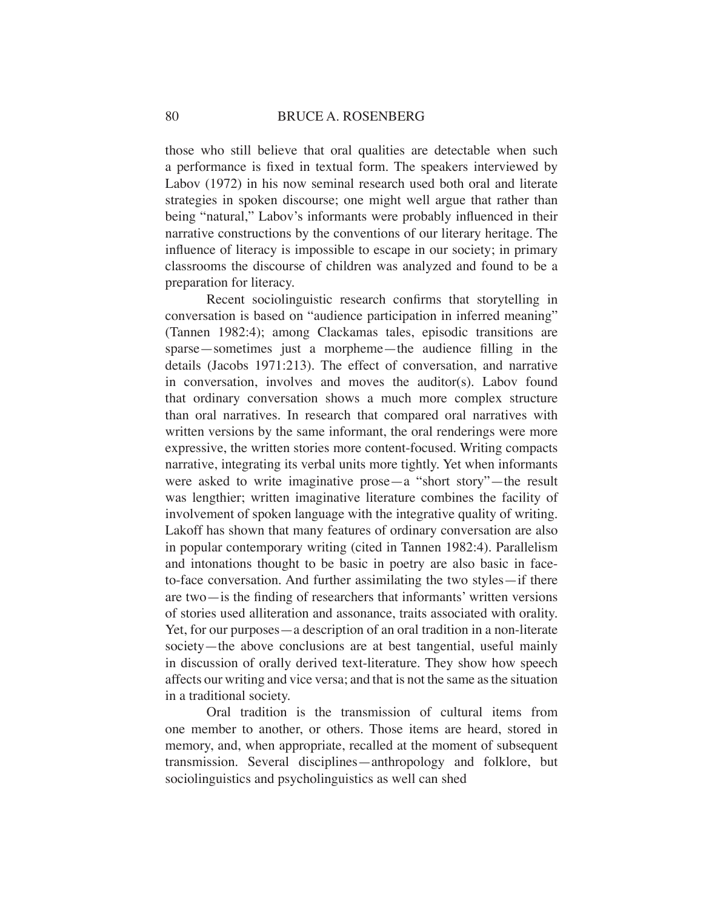those who still believe that oral qualities are detectable when such a performance is fixed in textual form. The speakers interviewed by Labov (1972) in his now seminal research used both oral and literate strategies in spoken discourse; one might well argue that rather than being "natural," Labov's informants were probably influenced in their narrative constructions by the conventions of our literary heritage. The influence of literacy is impossible to escape in our society; in primary classrooms the discourse of children was analyzed and found to be a preparation for literacy.

Recent sociolinguistic research confirms that storytelling in conversation is based on "audience participation in inferred meaning" (Tannen 1982:4); among Clackamas tales, episodic transitions are sparse—sometimes just a morpheme—the audience filling in the details (Jacobs 1971:213). The effect of conversation, and narrative in conversation, involves and moves the auditor(s). Labov found that ordinary conversation shows a much more complex structure than oral narratives. In research that compared oral narratives with written versions by the same informant, the oral renderings were more expressive, the written stories more content-focused. Writing compacts narrative, integrating its verbal units more tightly. Yet when informants were asked to write imaginative prose—a "short story"—the result was lengthier; written imaginative literature combines the facility of involvement of spoken language with the integrative quality of writing. Lakoff has shown that many features of ordinary conversation are also in popular contemporary writing (cited in Tannen 1982:4). Parallelism and intonations thought to be basic in poetry are also basic in faceto-face conversation. And further assimilating the two styles—if there are two—is the finding of researchers that informants' written versions of stories used alliteration and assonance, traits associated with orality. Yet, for our purposes—a description of an oral tradition in a non-literate society—the above conclusions are at best tangential, useful mainly in discussion of orally derived text-literature. They show how speech affects our writing and vice versa; and that is not the same as the situation in a traditional society.

Oral tradition is the transmission of cultural items from one member to another, or others. Those items are heard, stored in memory, and, when appropriate, recalled at the moment of subsequent transmission. Several disciplines—anthropology and folklore, but sociolinguistics and psycholinguistics as well can shed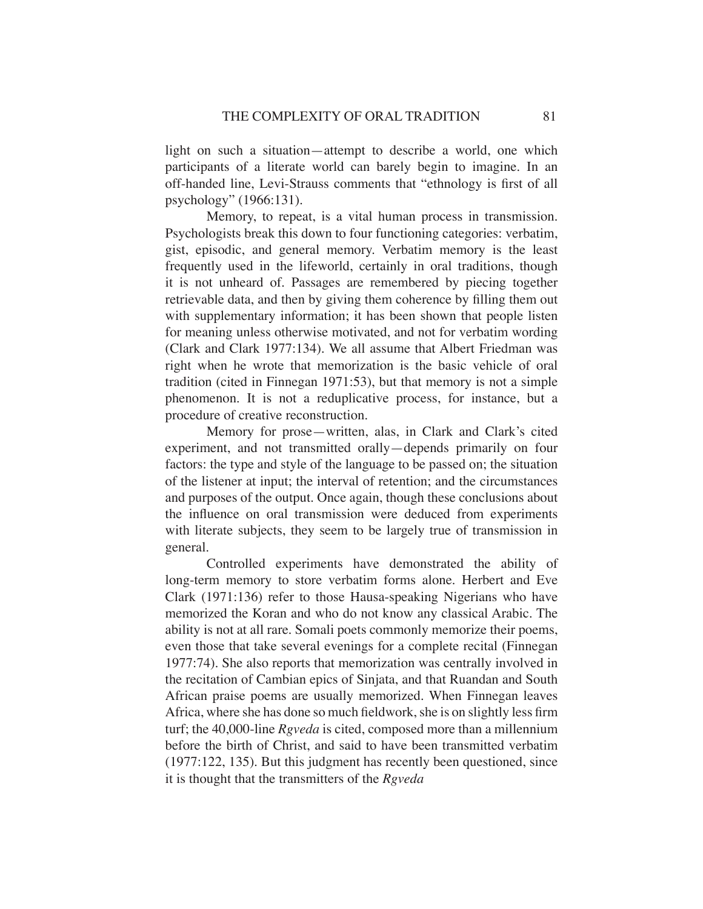light on such a situation—attempt to describe a world, one which participants of a literate world can barely begin to imagine. In an off-handed line, Levi-Strauss comments that "ethnology is first of all psychology" (1966:131).

Memory, to repeat, is a vital human process in transmission. Psychologists break this down to four functioning categories: verbatim, gist, episodic, and general memory. Verbatim memory is the least frequently used in the lifeworld, certainly in oral traditions, though it is not unheard of. Passages are remembered by piecing together retrievable data, and then by giving them coherence by filling them out with supplementary information; it has been shown that people listen for meaning unless otherwise motivated, and not for verbatim wording (Clark and Clark 1977:134). We all assume that Albert Friedman was right when he wrote that memorization is the basic vehicle of oral tradition (cited in Finnegan 1971:53), but that memory is not a simple phenomenon. It is not a reduplicative process, for instance, but a procedure of creative reconstruction.

Memory for prose—written, alas, in Clark and Clark's cited experiment, and not transmitted orally—depends primarily on four factors: the type and style of the language to be passed on; the situation of the listener at input; the interval of retention; and the circumstances and purposes of the output. Once again, though these conclusions about the influence on oral transmission were deduced from experiments with literate subjects, they seem to be largely true of transmission in general.

Controlled experiments have demonstrated the ability of long-term memory to store verbatim forms alone. Herbert and Eve Clark (1971:136) refer to those Hausa-speaking Nigerians who have memorized the Koran and who do not know any classical Arabic. The ability is not at all rare. Somali poets commonly memorize their poems, even those that take several evenings for a complete recital (Finnegan 1977:74). She also reports that memorization was centrally involved in the recitation of Cambian epics of Sinjata, and that Ruandan and South African praise poems are usually memorized. When Finnegan leaves Africa, where she has done so much fieldwork, she is on slightly less firm turf; the 40,000-line *Rgveda* is cited, composed more than a millennium before the birth of Christ, and said to have been transmitted verbatim (1977:122, 135). But this judgment has recently been questioned, since it is thought that the transmitters of the *Rgveda*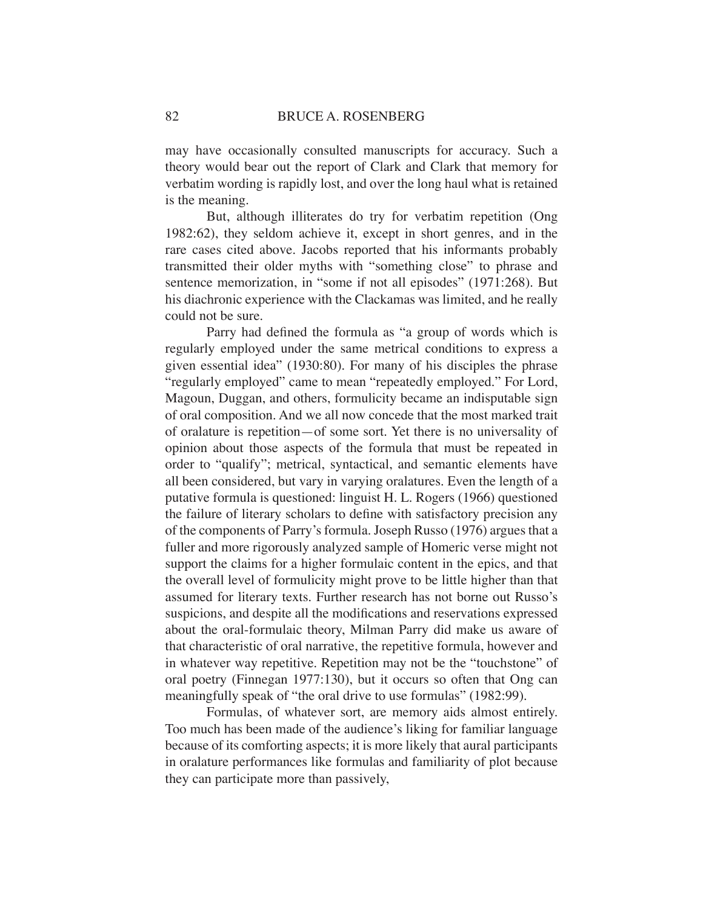may have occasionally consulted manuscripts for accuracy. Such a theory would bear out the report of Clark and Clark that memory for verbatim wording is rapidly lost, and over the long haul what is retained is the meaning.

But, although illiterates do try for verbatim repetition (Ong 1982:62), they seldom achieve it, except in short genres, and in the rare cases cited above. Jacobs reported that his informants probably transmitted their older myths with "something close" to phrase and sentence memorization, in "some if not all episodes" (1971:268). But his diachronic experience with the Clackamas was limited, and he really could not be sure.

Parry had defined the formula as "a group of words which is regularly employed under the same metrical conditions to express a given essential idea" (1930:80). For many of his disciples the phrase "regularly employed" came to mean "repeatedly employed." For Lord, Magoun, Duggan, and others, formulicity became an indisputable sign of oral composition. And we all now concede that the most marked trait of oralature is repetition—of some sort. Yet there is no universality of opinion about those aspects of the formula that must be repeated in order to "qualify"; metrical, syntactical, and semantic elements have all been considered, but vary in varying oralatures. Even the length of a putative formula is questioned: linguist H. L. Rogers (1966) questioned the failure of literary scholars to define with satisfactory precision any of the components of Parry's formula. Joseph Russo (1976) argues that a fuller and more rigorously analyzed sample of Homeric verse might not support the claims for a higher formulaic content in the epics, and that the overall level of formulicity might prove to be little higher than that assumed for literary texts. Further research has not borne out Russo's suspicions, and despite all the modifications and reservations expressed about the oral-formulaic theory, Milman Parry did make us aware of that characteristic of oral narrative, the repetitive formula, however and in whatever way repetitive. Repetition may not be the "touchstone" of oral poetry (Finnegan 1977:130), but it occurs so often that Ong can meaningfully speak of "the oral drive to use formulas" (1982:99).

Formulas, of whatever sort, are memory aids almost entirely. Too much has been made of the audience's liking for familiar language because of its comforting aspects; it is more likely that aural participants in oralature performances like formulas and familiarity of plot because they can participate more than passively,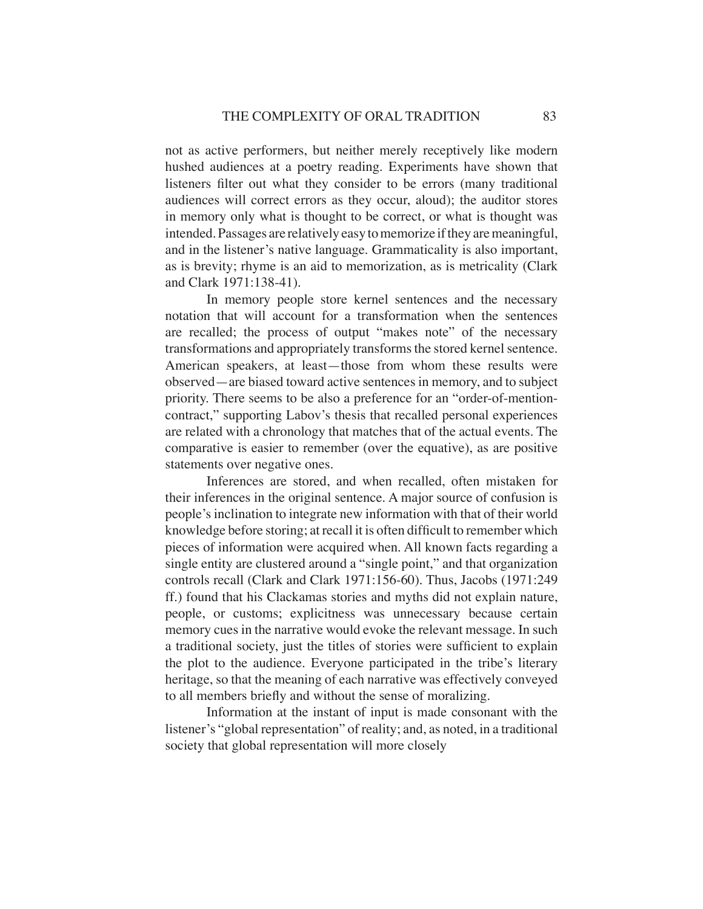not as active performers, but neither merely receptively like modern hushed audiences at a poetry reading. Experiments have shown that listeners filter out what they consider to be errors (many traditional audiences will correct errors as they occur, aloud); the auditor stores in memory only what is thought to be correct, or what is thought was intended. Passages are relatively easy to memorize if they are meaningful, and in the listener's native language. Grammaticality is also important, as is brevity; rhyme is an aid to memorization, as is metricality (Clark and Clark 1971:138-41).

In memory people store kernel sentences and the necessary notation that will account for a transformation when the sentences are recalled; the process of output "makes note" of the necessary transformations and appropriately transforms the stored kernel sentence. American speakers, at least—those from whom these results were observed—are biased toward active sentences in memory, and to subject priority. There seems to be also a preference for an "order-of-mentioncontract," supporting Labov's thesis that recalled personal experiences are related with a chronology that matches that of the actual events. The comparative is easier to remember (over the equative), as are positive statements over negative ones.

Inferences are stored, and when recalled, often mistaken for their inferences in the original sentence. A major source of confusion is people's inclination to integrate new information with that of their world knowledge before storing; at recall it is often difficult to remember which pieces of information were acquired when. All known facts regarding a single entity are clustered around a "single point," and that organization controls recall (Clark and Clark 1971:156-60). Thus, Jacobs (1971:249 ff.) found that his Clackamas stories and myths did not explain nature, people, or customs; explicitness was unnecessary because certain memory cues in the narrative would evoke the relevant message. In such a traditional society, just the titles of stories were sufficient to explain the plot to the audience. Everyone participated in the tribe's literary heritage, so that the meaning of each narrative was effectively conveyed to all members briefly and without the sense of moralizing.

Information at the instant of input is made consonant with the listener's "global representation" of reality; and, as noted, in a traditional society that global representation will more closely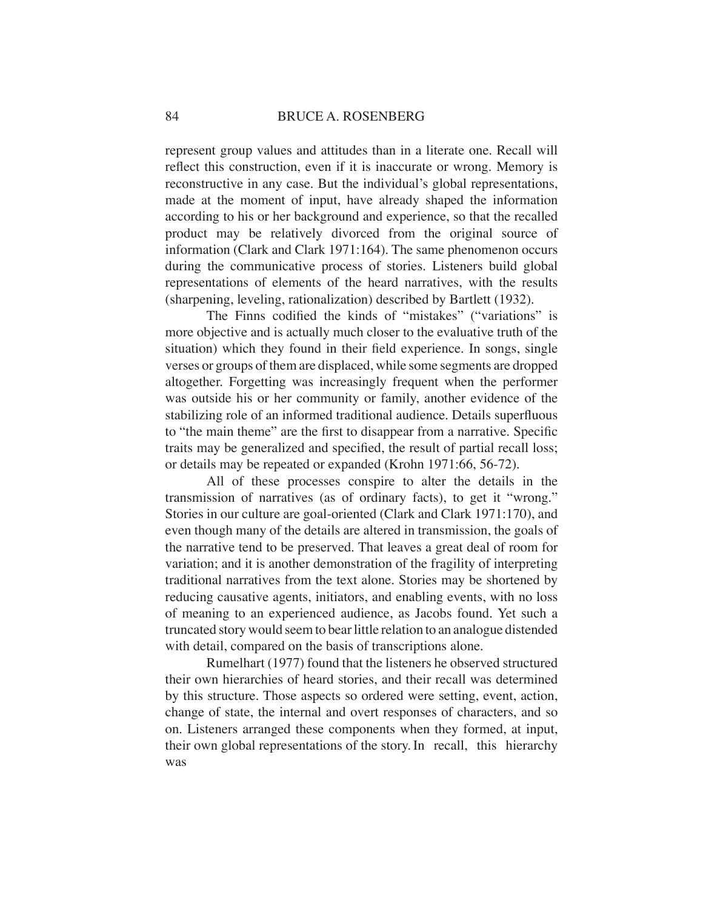represent group values and attitudes than in a literate one. Recall will reflect this construction, even if it is inaccurate or wrong. Memory is reconstructive in any case. But the individual's global representations, made at the moment of input, have already shaped the information according to his or her background and experience, so that the recalled product may be relatively divorced from the original source of information (Clark and Clark 1971:164). The same phenomenon occurs during the communicative process of stories. Listeners build global representations of elements of the heard narratives, with the results (sharpening, leveling, rationalization) described by Bartlett (1932).

The Finns codified the kinds of "mistakes" ("variations" is more objective and is actually much closer to the evaluative truth of the situation) which they found in their field experience. In songs, single verses or groups of them are displaced, while some segments are dropped altogether. Forgetting was increasingly frequent when the performer was outside his or her community or family, another evidence of the stabilizing role of an informed traditional audience. Details superfluous to "the main theme" are the first to disappear from a narrative. Specific traits may be generalized and specified, the result of partial recall loss; or details may be repeated or expanded (Krohn 1971:66, 56-72).

All of these processes conspire to alter the details in the transmission of narratives (as of ordinary facts), to get it "wrong." Stories in our culture are goal-oriented (Clark and Clark 1971:170), and even though many of the details are altered in transmission, the goals of the narrative tend to be preserved. That leaves a great deal of room for variation; and it is another demonstration of the fragility of interpreting traditional narratives from the text alone. Stories may be shortened by reducing causative agents, initiators, and enabling events, with no loss of meaning to an experienced audience, as Jacobs found. Yet such a truncated story would seem to bear little relation to an analogue distended with detail, compared on the basis of transcriptions alone.

Rumelhart (1977) found that the listeners he observed structured their own hierarchies of heard stories, and their recall was determined by this structure. Those aspects so ordered were setting, event, action, change of state, the internal and overt responses of characters, and so on. Listeners arranged these components when they formed, at input, their own global representations of the story. In recall, this hierarchy was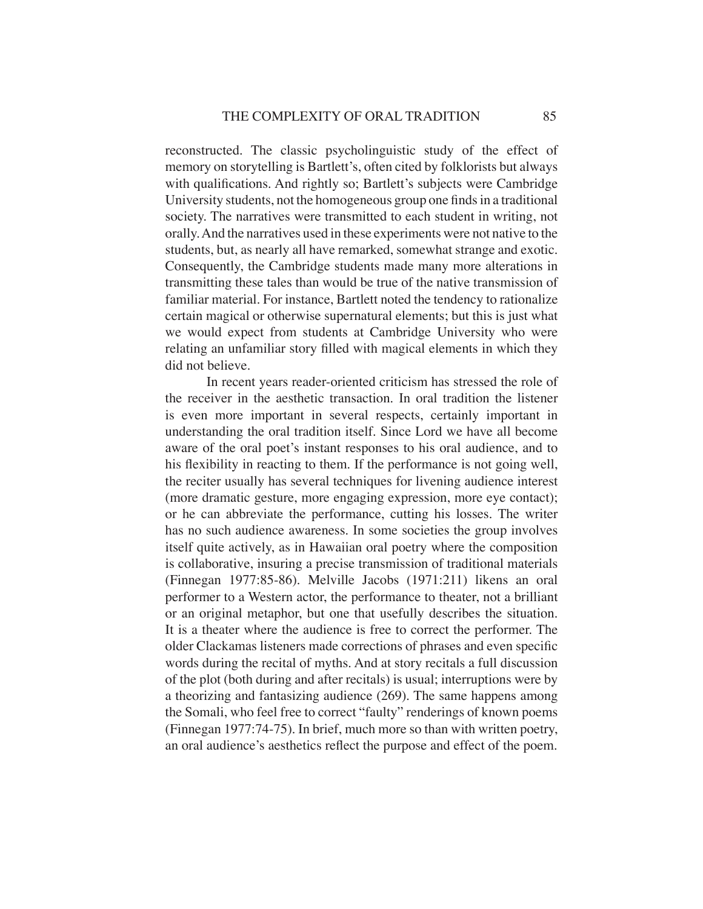reconstructed. The classic psycholinguistic study of the effect of memory on storytelling is Bartlett's, often cited by folklorists but always with qualifications. And rightly so; Bartlett's subjects were Cambridge University students, not the homogeneous group one finds in a traditional society. The narratives were transmitted to each student in writing, not orally. And the narratives used in these experiments were not native to the students, but, as nearly all have remarked, somewhat strange and exotic. Consequently, the Cambridge students made many more alterations in transmitting these tales than would be true of the native transmission of familiar material. For instance, Bartlett noted the tendency to rationalize certain magical or otherwise supernatural elements; but this is just what we would expect from students at Cambridge University who were relating an unfamiliar story filled with magical elements in which they did not believe.

In recent years reader-oriented criticism has stressed the role of the receiver in the aesthetic transaction. In oral tradition the listener is even more important in several respects, certainly important in understanding the oral tradition itself. Since Lord we have all become aware of the oral poet's instant responses to his oral audience, and to his flexibility in reacting to them. If the performance is not going well, the reciter usually has several techniques for livening audience interest (more dramatic gesture, more engaging expression, more eye contact); or he can abbreviate the performance, cutting his losses. The writer has no such audience awareness. In some societies the group involves itself quite actively, as in Hawaiian oral poetry where the composition is collaborative, insuring a precise transmission of traditional materials (Finnegan 1977:85-86). Melville Jacobs (1971:211) likens an oral performer to a Western actor, the performance to theater, not a brilliant or an original metaphor, but one that usefully describes the situation. It is a theater where the audience is free to correct the performer. The older Clackamas listeners made corrections of phrases and even specific words during the recital of myths. And at story recitals a full discussion of the plot (both during and after recitals) is usual; interruptions were by a theorizing and fantasizing audience (269). The same happens among the Somali, who feel free to correct "faulty" renderings of known poems (Finnegan 1977:74-75). In brief, much more so than with written poetry, an oral audience's aesthetics reflect the purpose and effect of the poem.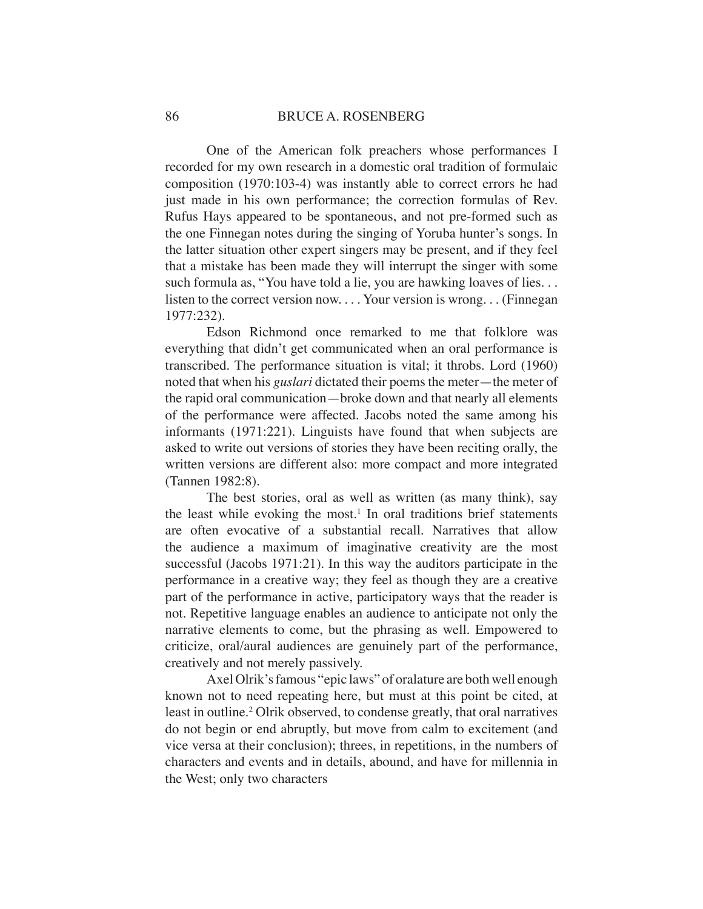One of the American folk preachers whose performances I recorded for my own research in a domestic oral tradition of formulaic composition (1970:103-4) was instantly able to correct errors he had just made in his own performance; the correction formulas of Rev. Rufus Hays appeared to be spontaneous, and not pre-formed such as the one Finnegan notes during the singing of Yoruba hunter's songs. In the latter situation other expert singers may be present, and if they feel that a mistake has been made they will interrupt the singer with some such formula as, "You have told a lie, you are hawking loaves of lies... listen to the correct version now. . . . Your version is wrong. . . (Finnegan 1977:232).

Edson Richmond once remarked to me that folklore was everything that didn't get communicated when an oral performance is transcribed. The performance situation is vital; it throbs. Lord (1960) noted that when his *guslari* dictated their poems the meter—the meter of the rapid oral communication—broke down and that nearly all elements of the performance were affected. Jacobs noted the same among his informants (1971:221). Linguists have found that when subjects are asked to write out versions of stories they have been reciting orally, the written versions are different also: more compact and more integrated (Tannen 1982:8).

The best stories, oral as well as written (as many think), say the least while evoking the most.<sup>1</sup> In oral traditions brief statements are often evocative of a substantial recall. Narratives that allow the audience a maximum of imaginative creativity are the most successful (Jacobs 1971:21). In this way the auditors participate in the performance in a creative way; they feel as though they are a creative part of the performance in active, participatory ways that the reader is not. Repetitive language enables an audience to anticipate not only the narrative elements to come, but the phrasing as well. Empowered to criticize, oral/aural audiences are genuinely part of the performance, creatively and not merely passively.

Axel Olrik's famous "epic laws" of oralature are both well enough known not to need repeating here, but must at this point be cited, at least in outline.<sup>2</sup> Olrik observed, to condense greatly, that oral narratives do not begin or end abruptly, but move from calm to excitement (and vice versa at their conclusion); threes, in repetitions, in the numbers of characters and events and in details, abound, and have for millennia in the West; only two characters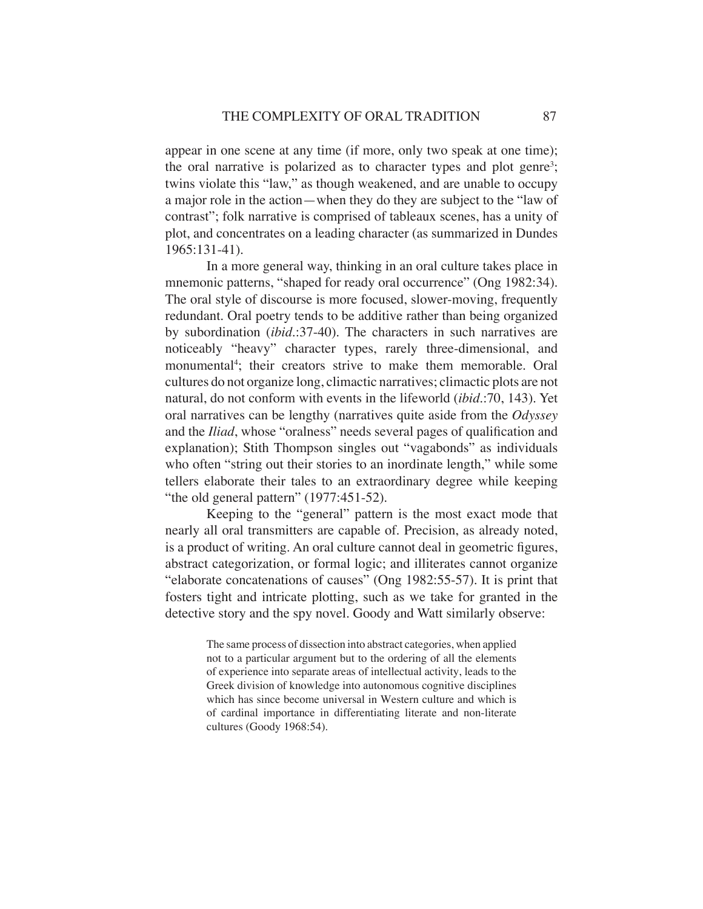appear in one scene at any time (if more, only two speak at one time); the oral narrative is polarized as to character types and plot genre<sup>3</sup>; twins violate this "law," as though weakened, and are unable to occupy a major role in the action—when they do they are subject to the "law of contrast"; folk narrative is comprised of tableaux scenes, has a unity of plot, and concentrates on a leading character (as summarized in Dundes 1965:131-41).

In a more general way, thinking in an oral culture takes place in mnemonic patterns, "shaped for ready oral occurrence" (Ong 1982:34). The oral style of discourse is more focused, slower-moving, frequently redundant. Oral poetry tends to be additive rather than being organized by subordination (*ibid*.:37-40). The characters in such narratives are noticeably "heavy" character types, rarely three-dimensional, and monumental<sup>4</sup>; their creators strive to make them memorable. Oral cultures do not organize long, climactic narratives; climactic plots are not natural, do not conform with events in the lifeworld (*ibid*.:70, 143). Yet oral narratives can be lengthy (narratives quite aside from the *Odyssey*  and the *Iliad*, whose "oralness" needs several pages of qualification and explanation); Stith Thompson singles out "vagabonds" as individuals who often "string out their stories to an inordinate length," while some tellers elaborate their tales to an extraordinary degree while keeping "the old general pattern" (1977:451-52).

Keeping to the "general" pattern is the most exact mode that nearly all oral transmitters are capable of. Precision, as already noted, is a product of writing. An oral culture cannot deal in geometric figures, abstract categorization, or formal logic; and illiterates cannot organize "elaborate concatenations of causes" (Ong 1982:55-57). It is print that fosters tight and intricate plotting, such as we take for granted in the detective story and the spy novel. Goody and Watt similarly observe:

> The same process of dissection into abstract categories, when applied not to a particular argument but to the ordering of all the elements of experience into separate areas of intellectual activity, leads to the Greek division of knowledge into autonomous cognitive disciplines which has since become universal in Western culture and which is of cardinal importance in differentiating literate and non-literate cultures (Goody 1968:54).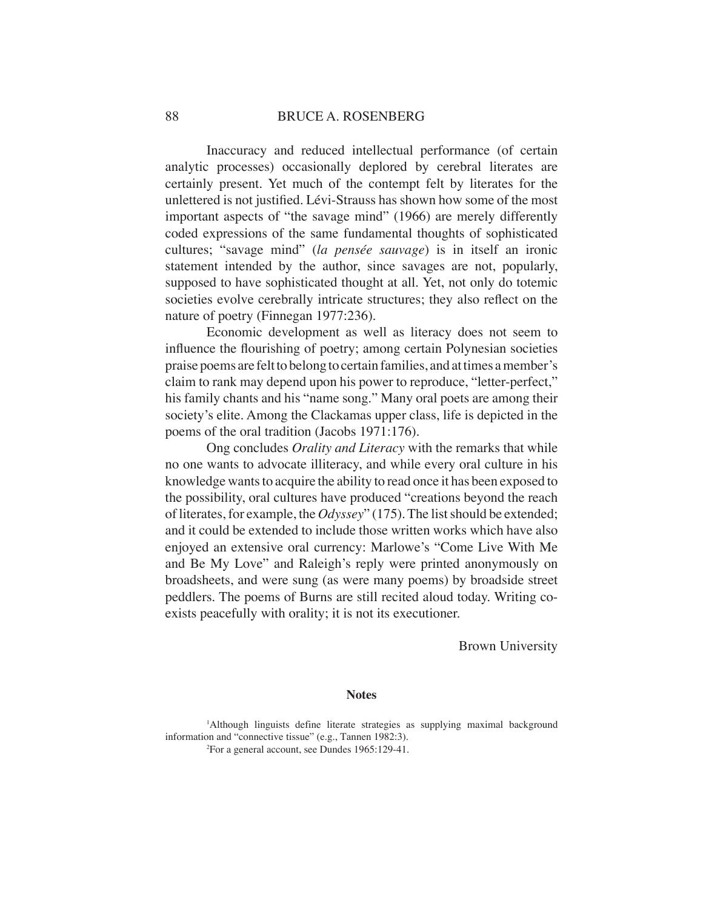Inaccuracy and reduced intellectual performance (of certain analytic processes) occasionally deplored by cerebral literates are certainly present. Yet much of the contempt felt by literates for the unlettered is not justified. Lévi-Strauss has shown how some of the most important aspects of "the savage mind" (1966) are merely differently coded expressions of the same fundamental thoughts of sophisticated cultures; "savage mind" (*la pensée sauvage*) is in itself an ironic statement intended by the author, since savages are not, popularly, supposed to have sophisticated thought at all. Yet, not only do totemic societies evolve cerebrally intricate structures; they also reflect on the nature of poetry (Finnegan 1977:236).

Economic development as well as literacy does not seem to influence the flourishing of poetry; among certain Polynesian societies praise poems are felt to belong to certain families, and at times a member's claim to rank may depend upon his power to reproduce, "letter-perfect," his family chants and his "name song." Many oral poets are among their society's elite. Among the Clackamas upper class, life is depicted in the poems of the oral tradition (Jacobs 1971:176).

Ong concludes *Orality and Literacy* with the remarks that while no one wants to advocate illiteracy, and while every oral culture in his knowledge wants to acquire the ability to read once it has been exposed to the possibility, oral cultures have produced "creations beyond the reach of literates, for example, the *Odyssey*" (175). The list should be extended; and it could be extended to include those written works which have also enjoyed an extensive oral currency: Marlowe's "Come Live With Me and Be My Love" and Raleigh's reply were printed anonymously on broadsheets, and were sung (as were many poems) by broadside street peddlers. The poems of Burns are still recited aloud today. Writing coexists peacefully with orality; it is not its executioner.

Brown University

### **Notes**

<sup>1</sup>Although linguists define literate strategies as supplying maximal background information and "connective tissue" (e.g., Tannen 1982:3). 2 For a general account, see Dundes 1965:129-41.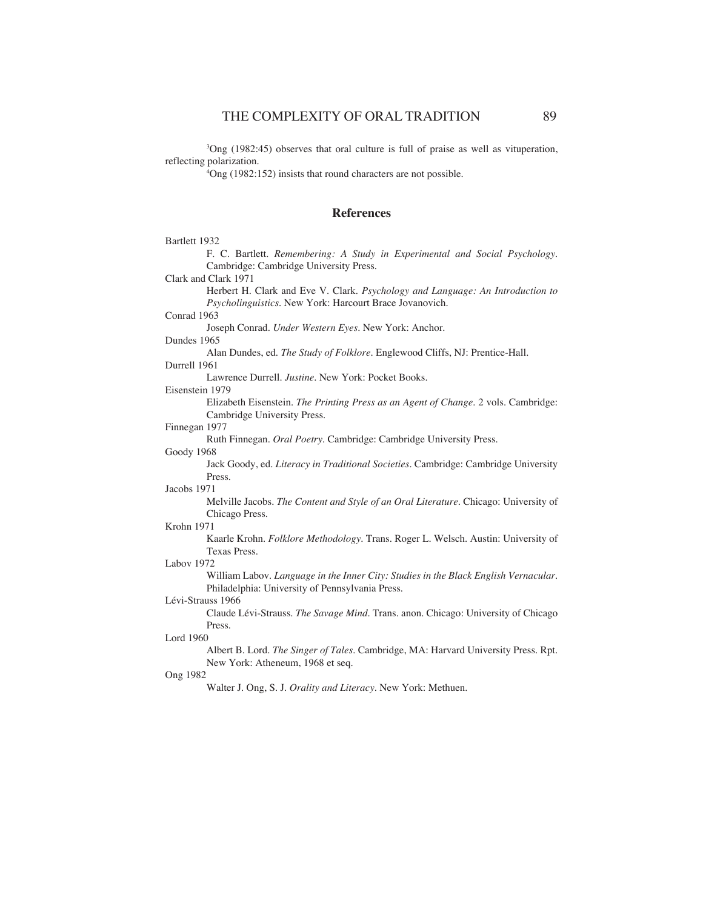3 Ong (1982:45) observes that oral culture is full of praise as well as vituperation, reflecting polarization.

4 Ong (1982:152) insists that round characters are not possible.

## **References**

| Bartlett 1932                                                                                                     |
|-------------------------------------------------------------------------------------------------------------------|
| F. C. Bartlett. Remembering: A Study in Experimental and Social Psychology.                                       |
| Cambridge: Cambridge University Press.                                                                            |
| Clark and Clark 1971                                                                                              |
| Herbert H. Clark and Eve V. Clark. Psychology and Language: An Introduction to                                    |
| Psycholinguistics. New York: Harcourt Brace Jovanovich.                                                           |
| Conrad 1963                                                                                                       |
| Joseph Conrad. Under Western Eyes. New York: Anchor.                                                              |
| Dundes 1965                                                                                                       |
| Alan Dundes, ed. The Study of Folklore. Englewood Cliffs, NJ: Prentice-Hall.                                      |
| Durrell 1961                                                                                                      |
| Lawrence Durrell. Justine. New York: Pocket Books.                                                                |
| Eisenstein 1979                                                                                                   |
| Elizabeth Eisenstein. The Printing Press as an Agent of Change. 2 vols. Cambridge:<br>Cambridge University Press. |
| Finnegan 1977                                                                                                     |
| Ruth Finnegan. Oral Poetry. Cambridge: Cambridge University Press.                                                |
| Goody 1968                                                                                                        |
| Jack Goody, ed. Literacy in Traditional Societies. Cambridge: Cambridge University                                |
| Press.                                                                                                            |
| Jacobs 1971                                                                                                       |
| Melville Jacobs. The Content and Style of an Oral Literature. Chicago: University of<br>Chicago Press.            |
| Krohn 1971                                                                                                        |
| Kaarle Krohn. Folklore Methodology. Trans. Roger L. Welsch. Austin: University of<br>Texas Press.                 |
| Labov 1972                                                                                                        |
| William Labov. Language in the Inner City: Studies in the Black English Vernacular.                               |
| Philadelphia: University of Pennsylvania Press.                                                                   |
| Lévi-Strauss 1966                                                                                                 |
| Claude Lévi-Strauss. The Savage Mind. Trans. anon. Chicago: University of Chicago                                 |
| Press.                                                                                                            |
| Lord 1960                                                                                                         |
| Albert B. Lord. The Singer of Tales. Cambridge, MA: Harvard University Press. Rpt.                                |
| New York: Atheneum, 1968 et seq.                                                                                  |
| <b>Ong 1982</b>                                                                                                   |
| Walter J. Ong, S. J. Orality and Literacy. New York: Methuen.                                                     |
|                                                                                                                   |